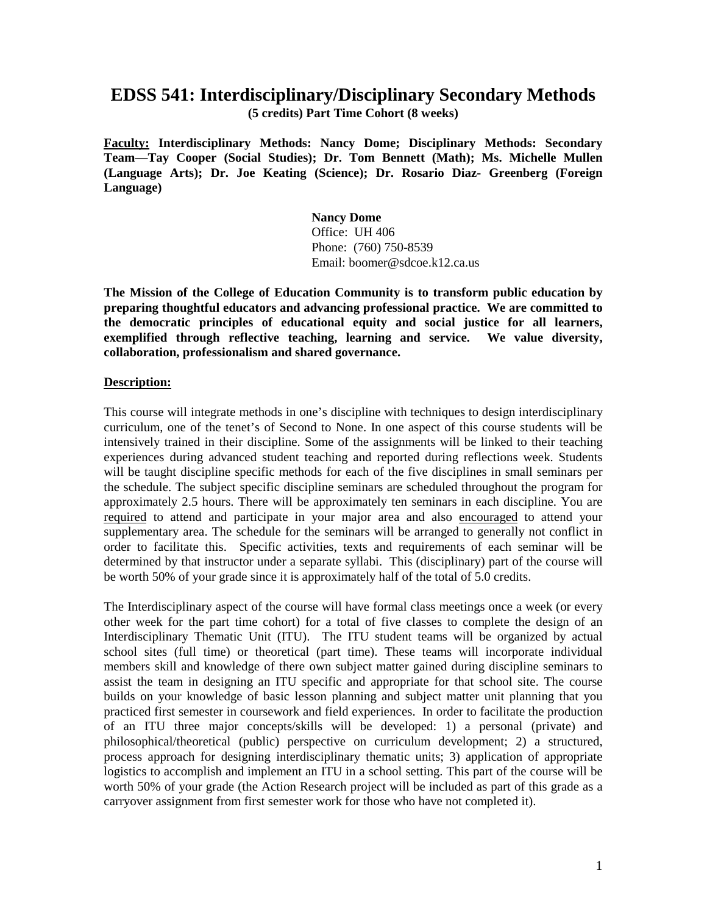# **EDSS 541: Interdisciplinary/Disciplinary Secondary Methods**

**(5 credits) Part Time Cohort (8 weeks)**

**Faculty: Interdisciplinary Methods: Nancy Dome; Disciplinary Methods: Secondary Team—Tay Cooper (Social Studies); Dr. Tom Bennett (Math); Ms. Michelle Mullen (Language Arts); Dr. Joe Keating (Science); Dr. Rosario Diaz- Greenberg (Foreign Language)**

> **Nancy Dome** Office: UH 406 Phone: (760) 750-8539 Email: boomer@sdcoe.k12.ca.us

**The Mission of the College of Education Community is to transform public education by preparing thoughtful educators and advancing professional practice. We are committed to the democratic principles of educational equity and social justice for all learners, exemplified through reflective teaching, learning and service. We value diversity, collaboration, professionalism and shared governance.**

# **Description:**

This course will integrate methods in one's discipline with techniques to design interdisciplinary curriculum, one of the tenet's of Second to None. In one aspect of this course students will be intensively trained in their discipline. Some of the assignments will be linked to their teaching experiences during advanced student teaching and reported during reflections week. Students will be taught discipline specific methods for each of the five disciplines in small seminars per the schedule. The subject specific discipline seminars are scheduled throughout the program for approximately 2.5 hours. There will be approximately ten seminars in each discipline. You are required to attend and participate in your major area and also encouraged to attend your supplementary area. The schedule for the seminars will be arranged to generally not conflict in order to facilitate this. Specific activities, texts and requirements of each seminar will be determined by that instructor under a separate syllabi. This (disciplinary) part of the course will be worth 50% of your grade since it is approximately half of the total of 5.0 credits.

The Interdisciplinary aspect of the course will have formal class meetings once a week (or every other week for the part time cohort) for a total of five classes to complete the design of an Interdisciplinary Thematic Unit (ITU). The ITU student teams will be organized by actual school sites (full time) or theoretical (part time). These teams will incorporate individual members skill and knowledge of there own subject matter gained during discipline seminars to assist the team in designing an ITU specific and appropriate for that school site. The course builds on your knowledge of basic lesson planning and subject matter unit planning that you practiced first semester in coursework and field experiences. In order to facilitate the production of an ITU three major concepts/skills will be developed: 1) a personal (private) and philosophical/theoretical (public) perspective on curriculum development; 2) a structured, process approach for designing interdisciplinary thematic units; 3) application of appropriate logistics to accomplish and implement an ITU in a school setting. This part of the course will be worth 50% of your grade (the Action Research project will be included as part of this grade as a carryover assignment from first semester work for those who have not completed it).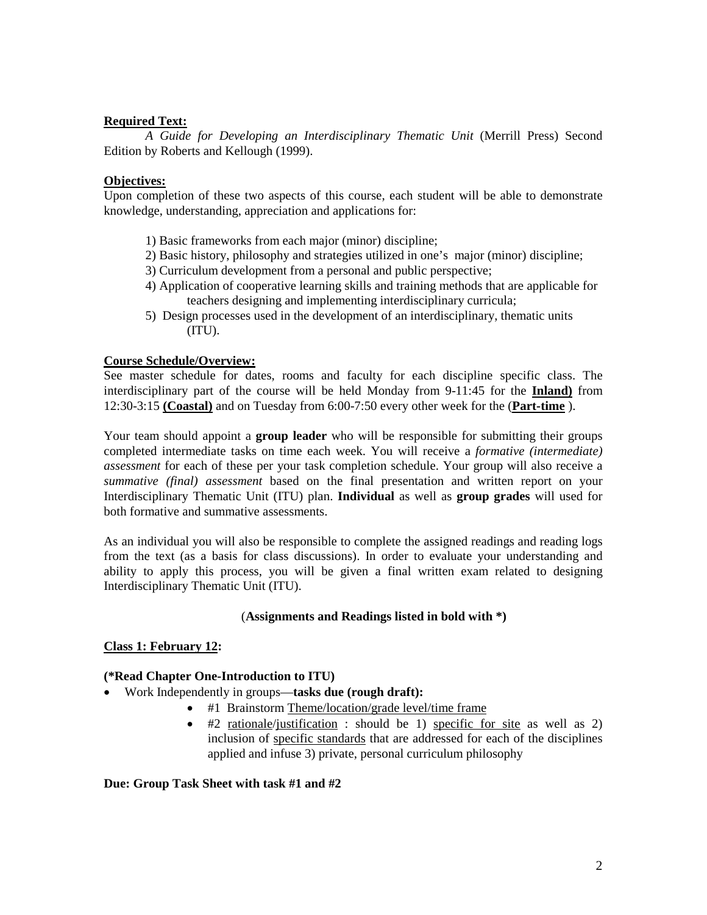# **Required Text:**

*A Guide for Developing an Interdisciplinary Thematic Unit* (Merrill Press) Second Edition by Roberts and Kellough (1999).

# **Objectives:**

Upon completion of these two aspects of this course, each student will be able to demonstrate knowledge, understanding, appreciation and applications for:

- 1) Basic frameworks from each major (minor) discipline;
- 2) Basic history, philosophy and strategies utilized in one's major (minor) discipline;
- 3) Curriculum development from a personal and public perspective;
- 4) Application of cooperative learning skills and training methods that are applicable for teachers designing and implementing interdisciplinary curricula;
- 5) Design processes used in the development of an interdisciplinary, thematic units (ITU).

# **Course Schedule/Overview:**

See master schedule for dates, rooms and faculty for each discipline specific class. The interdisciplinary part of the course will be held Monday from 9-11:45 for the **Inland)** from 12:30-3:15 **(Coastal)** and on Tuesday from 6:00-7:50 every other week for the (**Part-time** ).

Your team should appoint a **group leader** who will be responsible for submitting their groups completed intermediate tasks on time each week. You will receive a *formative (intermediate) assessment* for each of these per your task completion schedule. Your group will also receive a *summative (final) assessment* based on the final presentation and written report on your Interdisciplinary Thematic Unit (ITU) plan. **Individual** as well as **group grades** will used for both formative and summative assessments.

As an individual you will also be responsible to complete the assigned readings and reading logs from the text (as a basis for class discussions). In order to evaluate your understanding and ability to apply this process, you will be given a final written exam related to designing Interdisciplinary Thematic Unit (ITU).

# (**Assignments and Readings listed in bold with \*)**

# **Class 1: February 12:**

# **(\*Read Chapter One-Introduction to ITU)**

- Work Independently in groups—**tasks due (rough draft):**
	- #1 Brainstorm Theme/location/grade level/time frame
	- #2 rationale/justification : should be 1) specific for site as well as 2) inclusion of specific standards that are addressed for each of the disciplines applied and infuse 3) private, personal curriculum philosophy

#### **Due: Group Task Sheet with task #1 and #2**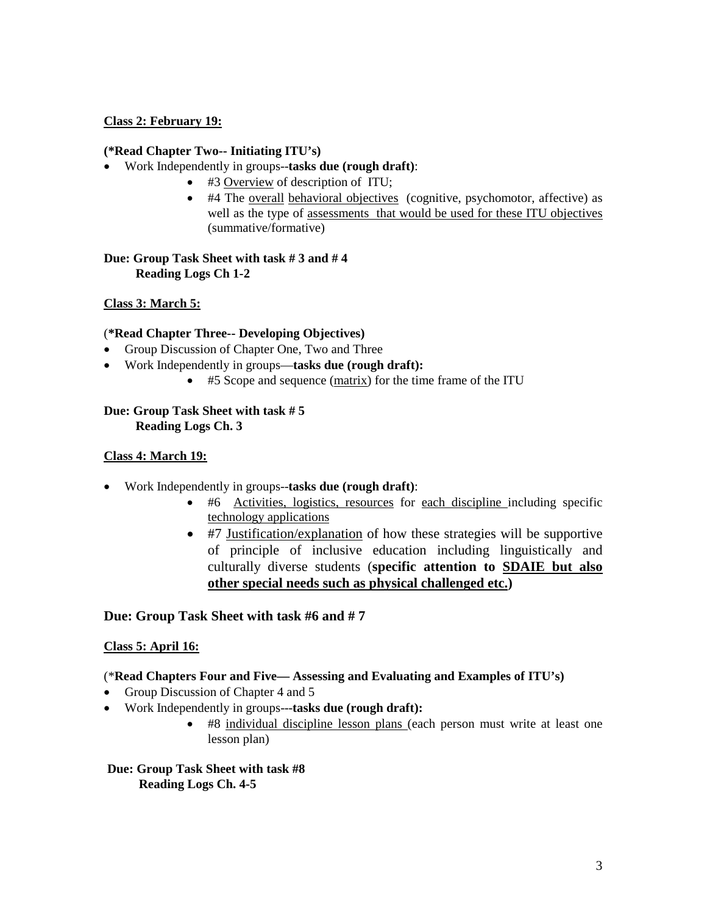# **Class 2: February 19:**

#### **(\*Read Chapter Two-- Initiating ITU's)**

- Work Independently in groups--**tasks due (rough draft)**:
	- #3 Overview of description of ITU;
	- #4 The overall behavioral objectives (cognitive, psychomotor, affective) as well as the type of assessments that would be used for these ITU objectives (summative/formative)

# **Due: Group Task Sheet with task # 3 and # 4 Reading Logs Ch 1-2**

#### **Class 3: March 5:**

#### (**\*Read Chapter Three-- Developing Objectives)**

- Group Discussion of Chapter One, Two and Three
- Work Independently in groups—**tasks due (rough draft):**
	- #5 Scope and sequence (matrix) for the time frame of the ITU

#### **Due: Group Task Sheet with task # 5 Reading Logs Ch. 3**

#### **Class 4: March 19:**

- Work Independently in groups--**tasks due (rough draft)**:
	- #6 Activities, logistics, resources for each discipline including specific technology applications
	- #7 Justification/explanation of how these strategies will be supportive of principle of inclusive education including linguistically and culturally diverse students (**specific attention to SDAIE but also other special needs such as physical challenged etc.)**

# **Due: Group Task Sheet with task #6 and # 7**

# **Class 5: April 16:**

#### (\***Read Chapters Four and Five— Assessing and Evaluating and Examples of ITU's)**

- Group Discussion of Chapter 4 and 5
- Work Independently in groups---**tasks due (rough draft):**
	- #8 individual discipline lesson plans (each person must write at least one lesson plan)

**Due: Group Task Sheet with task #8 Reading Logs Ch. 4-5**